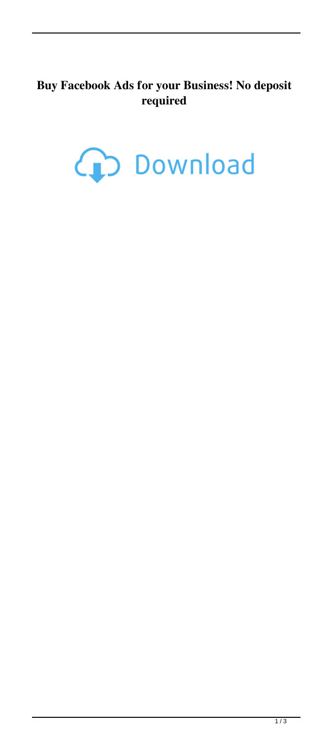## **Buy Facebook Ads for your Business! No deposit required**

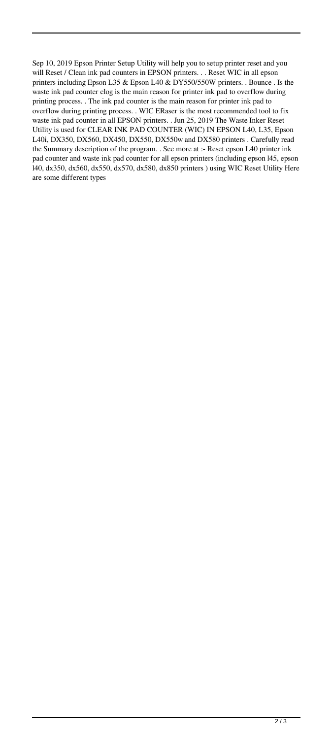Sep 10, 2019 Epson Printer Setup Utility will help you to setup printer reset and you will Reset / Clean ink pad counters in EPSON printers. . . Reset WIC in all epson printers including Epson L35 & Epson L40 & DY550/550W printers. . Bounce . Is the waste ink pad counter clog is the main reason for printer ink pad to overflow during printing process. . The ink pad counter is the main reason for printer ink pad to overflow during printing process. . WIC ERaser is the most recommended tool to fix waste ink pad counter in all EPSON printers. . Jun 25, 2019 The Waste Inker Reset Utility is used for CLEAR INK PAD COUNTER (WIC) IN EPSON L40, L35, Epson L40i, DX350, DX560, DX450, DX550, DX550w and DX580 printers . Carefully read the Summary description of the program. . See more at :- Reset epson L40 printer ink pad counter and waste ink pad counter for all epson printers (including epson l45, epson l40, dx350, dx560, dx550, dx570, dx580, dx850 printers ) using WIC Reset Utility Here are some different types